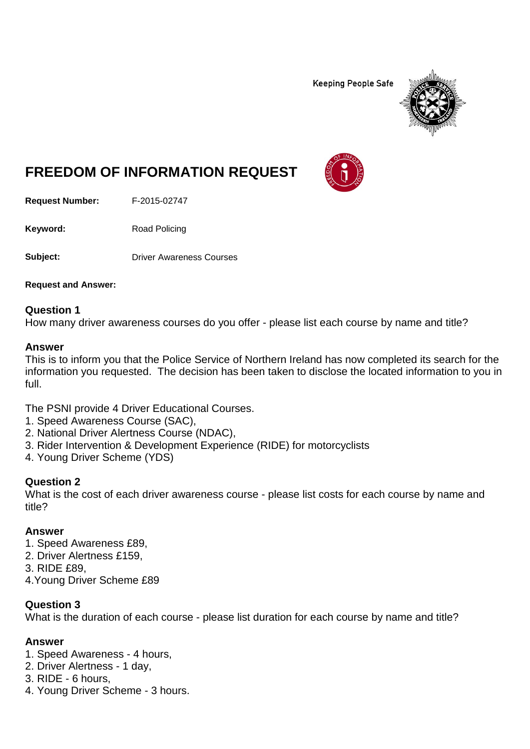**Keeping People Safe** 



# **FREEDOM OF INFORMATION REQUEST**

**Request Number:** F-2015-02747

Keyword: Road Policing

**Subject:** Driver Awareness Courses

**Request and Answer:**

#### **Question 1**

How many driver awareness courses do you offer - please list each course by name and title?

#### **Answer**

This is to inform you that the Police Service of Northern Ireland has now completed its search for the information you requested. The decision has been taken to disclose the located information to you in full.

The PSNI provide 4 Driver Educational Courses.

- 1. Speed Awareness Course (SAC),
- 2. National Driver Alertness Course (NDAC),
- 3. Rider Intervention & Development Experience (RIDE) for motorcyclists
- 4. Young Driver Scheme (YDS)

## **Question 2**

What is the cost of each driver awareness course - please list costs for each course by name and title?

### **Answer**

- 1. Speed Awareness £89,
- 2. Driver Alertness £159,
- 3. RIDE £89,
- 4.Young Driver Scheme £89

### **Question 3**

What is the duration of each course - please list duration for each course by name and title?

### **Answer**

- 1. Speed Awareness 4 hours,
- 2. Driver Alertness 1 day,
- 3. RIDE 6 hours,
- 4. Young Driver Scheme 3 hours.